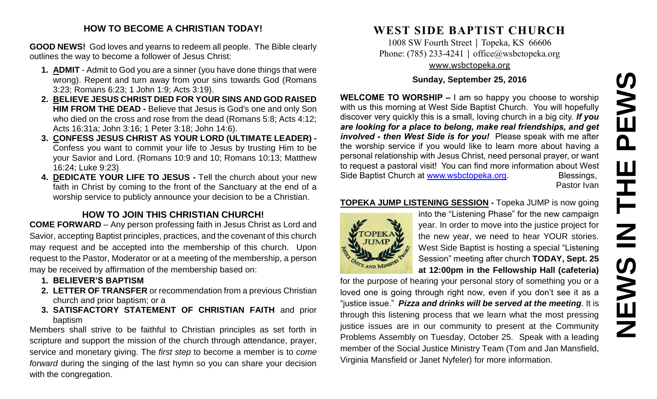# **NEWS IN THE PEWS**PEWS Ш HH<br>N<br>N NEWS

# **HOW TO BECOME A CHRISTIAN TODAY!**

**GOOD NEWS!** God loves and yearns to redeem all people. The Bible clearly outlines the way to become a follower of Jesus Christ:

- **1. ADMIT** Admit to God you are a sinner (you have done things that were wrong). Repent and turn away from your sins towards God (Romans 3:23; Romans 6:23; 1 John 1:9; Acts 3:19).
- **2. BELIEVE JESUS CHRIST DIED FOR YOUR SINS AND GOD RAISED HIM FROM THE DEAD -** Believe that Jesus is God's one and only Son who died on the cross and rose from the dead (Romans 5:8; Acts 4:12; Acts 16:31a; John 3:16; 1 Peter 3:18; John 14:6).
- **3. CONFESS JESUS CHRIST AS YOUR LORD (ULTIMATE LEADER) -** Confess you want to commit your life to Jesus by trusting Him to be your Savior and Lord. (Romans 10:9 and 10; Romans 10:13; Matthew 16:24; Luke 9:23)
- **4. DEDICATE YOUR LIFE TO JESUS -** Tell the church about your new faith in Christ by coming to the front of the Sanctuary at the end of a worship service to publicly announce your decision to be a Christian.

# **HOW TO JOIN THIS CHRISTIAN CHURCH!**

**COME FORWARD** – Any person professing faith in Jesus Christ as Lord and Savior, accepting Baptist principles, practices, and the covenant of this church may request and be accepted into the membership of this church. Upon request to the Pastor, Moderator or at a meeting of the membership, a person may be received by affirmation of the membership based on:

- **1. BELIEVER'S BAPTISM**
- **2. LETTER OF TRANSFER** or recommendation from a previous Christian church and prior baptism; or a
- **3. SATISFACTORY STATEMENT OF CHRISTIAN FAITH** and prior baptism

Members shall strive to be faithful to Christian principles as set forth in scripture and support the mission of the church through attendance, prayer, service and monetary giving. The *first step* to become a member is to *come forward* during the singing of the last hymn so you can share your decision with the congregation.

# **WEST SIDE BAPTIST CHURCH**

1008 SW Fourth Street | Topeka, KS 66606 Phone: (785) 233-4241 │ [office@wsbctopeka.org](mailto:office@wsbctopeka.org) [www.wsbctopeka.org](http://www.wsbctopeka.org/)

# **Sunday, September 25, 2016**

**WELCOME TO WORSHIP –** I am so happy you choose to worship with us this morning at West Side Baptist Church. You will hopefully discover very quickly this is a small, loving church in a big city. *If you are looking for a place to belong, make real friendships, and get involved - then West Side is for you!* Please speak with me after the worship service if you would like to learn more about having a personal relationship with Jesus Christ, need personal prayer, or want to request a pastoral visit! You can find more information about West Side Baptist Church at [www.wsbctopeka.org.](http://www.wsbctopeka.org/) Blessings,

Pastor Ivan

# **TOPEKA JUMP LISTENING SESSION -** Topeka JUMP is now going



into the "Listening Phase" for the new campaign year. In order to move into the justice project for the new year, we need to hear YOUR stories. West Side Baptist is hosting a special "Listening Session" meeting after church **TODAY, Sept. 25 at 12:00pm in the Fellowship Hall (cafeteria)**

for the purpose of hearing your personal story of something you or a loved one is going through right now, even if you don't see it as a "justice issue." *Pizza and drinks will be served at the meeting*. It is through this listening process that we learn what the most pressing justice issues are in our community to present at the Community Problems Assembly on Tuesday, October 25. Speak with a leading member of the Social Justice Ministry Team (Tom and Jan Mansfield, Virginia Mansfield or Janet Nyfeler) for more information.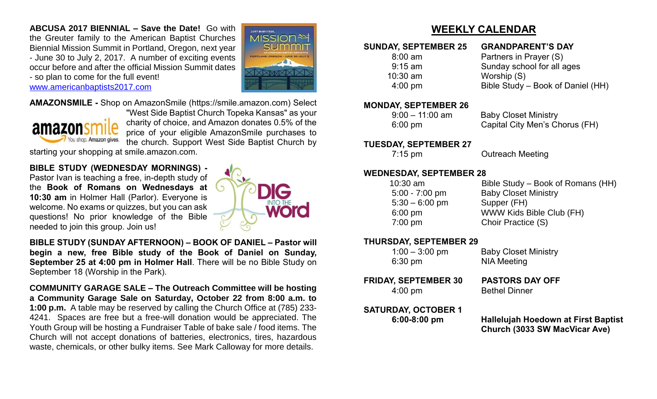**ABCUSA 2017 BIENNIAL – Save the Date!** Go with the Greuter family to the American Baptist Churches Biennial Mission Summit in Portland, Oregon, next year - June 30 to July 2, 2017. A number of exciting events occur before and after the official Mission Summit dates - so plan to come for the full event! [www.americanbaptists2017.com](http://www.americanbaptists2017.com/)



**AMAZONSMILE -** Shop on AmazonSmile (https://smile.amazon.com) Select



"West Side Baptist Church Topeka Kansas" as your charity of choice, and Amazon donates 0.5% of the price of your eligible AmazonSmile purchases to the church. Support West Side Baptist Church by

starting your shopping at smile.amazon.com.

**BIBLE STUDY (WEDNESDAY MORNINGS) -**

Pastor Ivan is teaching a free, in-depth study of the **Book of Romans on Wednesdays at 10:30 am** in Holmer Hall (Parlor). Everyone is welcome. No exams or quizzes, but you can ask questions! No prior knowledge of the Bible needed to join this group. Join us!



**BIBLE STUDY (SUNDAY AFTERNOON) – BOOK OF DANIEL – Pastor will begin a new, free Bible study of the Book of Daniel on Sunday, September 25 at 4:00 pm in Holmer Hall**. There will be no Bible Study on September 18 (Worship in the Park).

**COMMUNITY GARAGE SALE – The Outreach Committee will be hosting a Community Garage Sale on Saturday, October 22 from 8:00 a.m. to 1:00 p.m.** A table may be reserved by calling the Church Office at (785) 233- 4241. Spaces are free but a free-will donation would be appreciated. The Youth Group will be hosting a Fundraiser Table of bake sale / food items. The Church will not accept donations of batteries, electronics, tires, hazardous waste, chemicals, or other bulky items. See Mark Calloway for more details.

# **WEEKLY CALENDAR**

## **SUNDAY, SEPTEMBER 25 GRANDPARENT'S DAY**

8:00 am Partners in Prayer (S) 9:15 am Sunday school for all ages 10:30 am Worship (S) 4:00 pm Bible Study – Book of Daniel (HH)

## **MONDAY, SEPTEMBER 26**

 9:00 – 11:00 am Baby Closet Ministry 6:00 pm Capital City Men's Chorus (FH)

## **TUESDAY, SEPTEMBER 27**

**7:15 pm Cutreach Meeting** 

## **WEDNESDAY, SEPTEMBER 28**

| $10:30$ am        | Bible Study – Book of Romans (HH) |
|-------------------|-----------------------------------|
| $5:00 - 7:00$ pm  | <b>Baby Closet Ministry</b>       |
| $5:30 - 6:00$ pm  | Supper (FH)                       |
| $6:00$ pm         | WWW Kids Bible Club (FH)          |
| $7:00 \text{ pm}$ | Choir Practice (S)                |
|                   |                                   |

## **THURSDAY, SEPTEMBER 29**

| $1:00 - 3:00$ pm | <b>Baby Closet Ministry</b> |
|------------------|-----------------------------|
| 6:30 pm          | <b>NIA Meeting</b>          |

**NIA Meeting** 

**FRIDAY, SEPTEMBER 30 PASTORS DAY OFF** 4:00 pm Bethel Dinner

**SATURDAY, OCTOBER 1**

 **6:00-8:00 pm Hallelujah Hoedown at First Baptist Church (3033 SW MacVicar Ave)**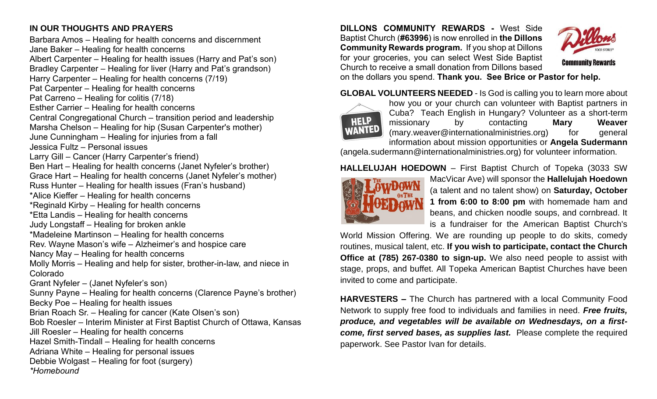# **IN OUR THOUGHTS AND PRAYERS**

Barbara Amos – Healing for health concerns and discernment Jane Baker – Healing for health concerns Albert Carpenter – Healing for health issues (Harry and Pat's son) Bradley Carpenter – Healing for liver (Harry and Pat's grandson) Harry Carpenter – Healing for health concerns (7/19) Pat Carpenter – Healing for health concerns Pat Carreno – Healing for colitis (7/18) Esther Carrier – Healing for health concerns Central Congregational Church – transition period and leadership Marsha Chelson – Healing for hip (Susan Carpenter's mother) June Cunningham – Healing for injuries from a fall Jessica Fultz – Personal issues Larry Gill – Cancer (Harry Carpenter's friend) Ben Hart – Healing for health concerns (Janet Nyfeler's brother) Grace Hart – Healing for health concerns (Janet Nyfeler's mother) Russ Hunter – Healing for health issues (Fran's husband) \*Alice Kieffer – Healing for health concerns \*Reginald Kirby – Healing for health concerns \*Etta Landis – Healing for health concerns Judy Longstaff – Healing for broken ankle \*Madeleine Martinson – Healing for health concerns Rev. Wayne Mason's wife – Alzheimer's and hospice care Nancy May – Healing for health concerns Molly Morris – Healing and help for sister, brother-in-law, and niece in Colorado Grant Nyfeler – (Janet Nyfeler's son) Sunny Payne – Healing for health concerns (Clarence Payne's brother) Becky Poe – Healing for health issues Brian Roach Sr. – Healing for cancer (Kate Olsen's son) Bob Roesler – Interim Minister at First Baptist Church of Ottawa, Kansas Jill Roesler – Healing for health concerns Hazel Smith-Tindall – Healing for health concerns Adriana White – Healing for personal issues Debbie Wolgast – Healing for foot (surgery) *\*Homebound*

**DILLONS COMMUNITY REWARDS -** West Side Baptist Church (**#63996**) is now enrolled in **the Dillons Community Rewards program.** If you shop at Dillons for your groceries, you can select West Side Baptist Church to receive a small donation from Dillons based



on the dollars you spend. **Thank you. See Brice or Pastor for help.**

**GLOBAL VOLUNTEERS NEEDED** - Is God is calling you to learn more about



how you or your church can volunteer with Baptist partners in Cuba? Teach English in Hungary? Volunteer as a short-term missionary by contacting **Mary Weaver**  $(mary.weaver@internationalministries.org)$  for general information about mission opportunities or **Angela Sudermann**

(angela.sudermann@internationalministries.org) for volunteer information.

# **HALLELUJAH HOEDOWN** – First Baptist Church of Topeka (3033 SW



MacVicar Ave) will sponsor the **Hallelujah Hoedown** (a talent and no talent show) on **Saturday, October 1 from 6:00 to 8:00 pm** with homemade ham and beans, and chicken noodle soups, and cornbread. It is a fundraiser for the American Baptist Church's

World Mission Offering. We are rounding up people to do skits, comedy routines, musical talent, etc. **If you wish to participate, contact the Church Office at (785) 267-0380 to sign-up.** We also need people to assist with stage, props, and buffet. All Topeka American Baptist Churches have been invited to come and participate.

**HARVESTERS –** The Church has partnered with a local Community Food Network to supply free food to individuals and families in need. *Free fruits, produce, and vegetables will be available on Wednesdays, on a firstcome, first served bases, as supplies last.* Please complete the required paperwork. See Pastor Ivan for details.